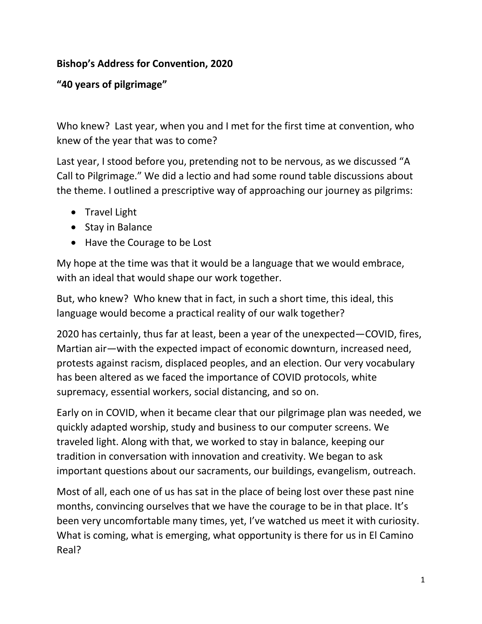## **Bishop's Address for Convention, 2020**

## **"40 years of pilgrimage"**

Who knew? Last year, when you and I met for the first time at convention, who knew of the year that was to come?

Last year, I stood before you, pretending not to be nervous, as we discussed "A Call to Pilgrimage." We did a lectio and had some round table discussions about the theme. I outlined a prescriptive way of approaching our journey as pilgrims:

- Travel Light
- Stay in Balance
- Have the Courage to be Lost

My hope at the time was that it would be a language that we would embrace, with an ideal that would shape our work together.

But, who knew? Who knew that in fact, in such a short time, this ideal, this language would become a practical reality of our walk together?

2020 has certainly, thus far at least, been a year of the unexpected—COVID, fires, Martian air—with the expected impact of economic downturn, increased need, protests against racism, displaced peoples, and an election. Our very vocabulary has been altered as we faced the importance of COVID protocols, white supremacy, essential workers, social distancing, and so on.

Early on in COVID, when it became clear that our pilgrimage plan was needed, we quickly adapted worship, study and business to our computer screens. We traveled light. Along with that, we worked to stay in balance, keeping our tradition in conversation with innovation and creativity. We began to ask important questions about our sacraments, our buildings, evangelism, outreach.

Most of all, each one of us has sat in the place of being lost over these past nine months, convincing ourselves that we have the courage to be in that place. It's been very uncomfortable many times, yet, I've watched us meet it with curiosity. What is coming, what is emerging, what opportunity is there for us in El Camino Real?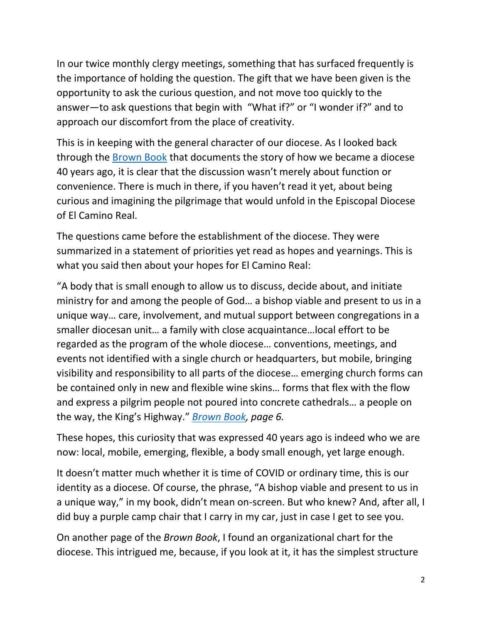In our twice monthly clergy meetings, something that has surfaced frequently is the importance of holding the question. The gift that we have been given is the opportunity to ask the curious question, and not move too quickly to the answer—to ask questions that begin with "What if?" or "I wonder if?" and to approach our discomfort from the place of creativity.

This is in keeping with the general character of our diocese. As I looked back through the [Brown Book](https://www.realepiscopal.org/wp-content/uploads/2014/11/Hist-ECRHistory1980.pdf) that documents the story of how we became a diocese 40 years ago, it is clear that the discussion wasn't merely about function or convenience. There is much in there, if you haven't read it yet, about being curious and imagining the pilgrimage that would unfold in the Episcopal Diocese of El Camino Real.

The questions came before the establishment of the diocese. They were summarized in a statement of priorities yet read as hopes and yearnings. This is what you said then about your hopes for El Camino Real:

"A body that is small enough to allow us to discuss, decide about, and initiate ministry for and among the people of God… a bishop viable and present to us in a unique way… care, involvement, and mutual support between congregations in a smaller diocesan unit… a family with close acquaintance…local effort to be regarded as the program of the whole diocese… conventions, meetings, and events not identified with a single church or headquarters, but mobile, bringing visibility and responsibility to all parts of the diocese… emerging church forms can be contained only in new and flexible wine skins… forms that flex with the flow and express a pilgrim people not poured into concrete cathedrals… a people on the way, the King's Highway." *[Brown Book,](https://www.realepiscopal.org/wp-content/uploads/2014/11/Hist-ECRHistory1980.pdf) page 6.*

These hopes, this curiosity that was expressed 40 years ago is indeed who we are now: local, mobile, emerging, flexible, a body small enough, yet large enough.

It doesn't matter much whether it is time of COVID or ordinary time, this is our identity as a diocese. Of course, the phrase, "A bishop viable and present to us in a unique way," in my book, didn't mean on-screen. But who knew? And, after all, I did buy a purple camp chair that I carry in my car, just in case I get to see you.

On another page of the *Brown Book*, I found an organizational chart for the diocese. This intrigued me, because, if you look at it, it has the simplest structure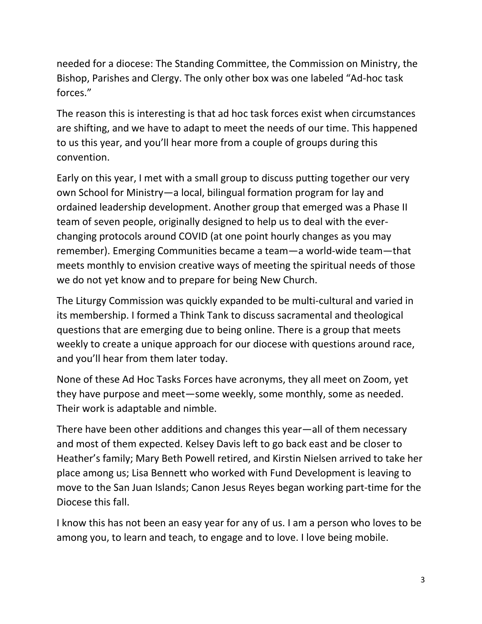needed for a diocese: The Standing Committee, the Commission on Ministry, the Bishop, Parishes and Clergy. The only other box was one labeled "Ad-hoc task forces."

The reason this is interesting is that ad hoc task forces exist when circumstances are shifting, and we have to adapt to meet the needs of our time. This happened to us this year, and you'll hear more from a couple of groups during this convention.

Early on this year, I met with a small group to discuss putting together our very own School for Ministry—a local, bilingual formation program for lay and ordained leadership development. Another group that emerged was a Phase II team of seven people, originally designed to help us to deal with the everchanging protocols around COVID (at one point hourly changes as you may remember). Emerging Communities became a team—a world-wide team—that meets monthly to envision creative ways of meeting the spiritual needs of those we do not yet know and to prepare for being New Church.

The Liturgy Commission was quickly expanded to be multi-cultural and varied in its membership. I formed a Think Tank to discuss sacramental and theological questions that are emerging due to being online. There is a group that meets weekly to create a unique approach for our diocese with questions around race, and you'll hear from them later today.

None of these Ad Hoc Tasks Forces have acronyms, they all meet on Zoom, yet they have purpose and meet—some weekly, some monthly, some as needed. Their work is adaptable and nimble.

There have been other additions and changes this year—all of them necessary and most of them expected. Kelsey Davis left to go back east and be closer to Heather's family; Mary Beth Powell retired, and Kirstin Nielsen arrived to take her place among us; Lisa Bennett who worked with Fund Development is leaving to move to the San Juan Islands; Canon Jesus Reyes began working part-time for the Diocese this fall.

I know this has not been an easy year for any of us. I am a person who loves to be among you, to learn and teach, to engage and to love. I love being mobile.